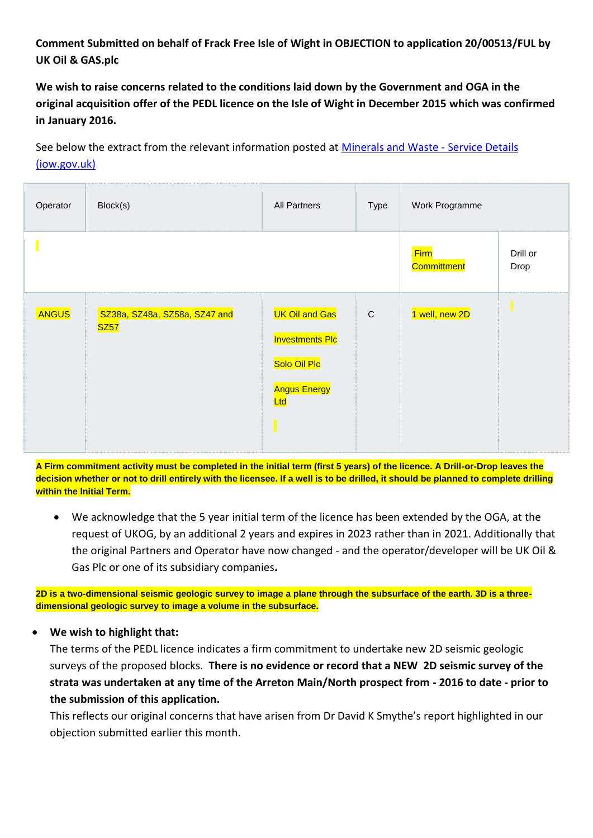## **Comment Submitted on behalf of Frack Free Isle of Wight in OBJECTION to application 20/00513/FUL by UK Oil & GAS.plc**

**We wish to raise concerns related to the conditions laid down by the Government and OGA in the original acquisition offer of the PEDL licence on the Isle of Wight in December 2015 which was confirmed in January 2016.**

See below the extract from the relevant information posted at [Minerals and Waste -](https://www.iow.gov.uk/Residents/Environment-Planning-and-Waste/Planning-Policy-new/Minerals-and-Waste/Oil-and-Gas-development-on-the-Isle-of-Wight) Service Details [\(iow.gov.uk\)](https://www.iow.gov.uk/Residents/Environment-Planning-and-Waste/Planning-Policy-new/Minerals-and-Waste/Oil-and-Gas-development-on-the-Isle-of-Wight)

| Operator | Block(s)                                     | All Partners                                                                                       | Type      | Work Programme             |                  |
|----------|----------------------------------------------|----------------------------------------------------------------------------------------------------|-----------|----------------------------|------------------|
|          |                                              |                                                                                                    |           | <b>Firm</b><br>Committment | Drill or<br>Drop |
| ANGUS    | SZ38a, SZ48a, SZ58a, SZ47 and<br><b>SZ57</b> | <b>UK Oil and Gas</b><br><b>Investments Plc</b><br>Solo Oil Plc<br><b>Angus Energy</b><br>Ltd<br>Π | ${\bf C}$ | 1 well, new 2D             |                  |

**A Firm commitment activity must be completed in the initial term (first 5 years) of the licence. A Drill-or-Drop leaves the decision whether or not to drill entirely with the licensee. If a well is to be drilled, it should be planned to complete drilling within the Initial Term.**

 We acknowledge that the 5 year initial term of the licence has been extended by the OGA, at the request of UKOG, by an additional 2 years and expires in 2023 rather than in 2021. Additionally that the original Partners and Operator have now changed - and the operator/developer will be UK Oil & Gas Plc or one of its subsidiary companies**.**

**2D is a two-dimensional seismic geologic survey to image a plane through the subsurface of the earth. 3D is a threedimensional geologic survey to image a volume in the subsurface.**

## **We wish to highlight that:**

The terms of the PEDL licence indicates a firm commitment to undertake new 2D seismic geologic surveys of the proposed blocks. **There is no evidence or record that a NEW 2D seismic survey of the strata was undertaken at any time of the Arreton Main/North prospect from - 2016 to date - prior to the submission of this application.**

This reflects our original concerns that have arisen from Dr David K Smythe's report highlighted in our objection submitted earlier this month.